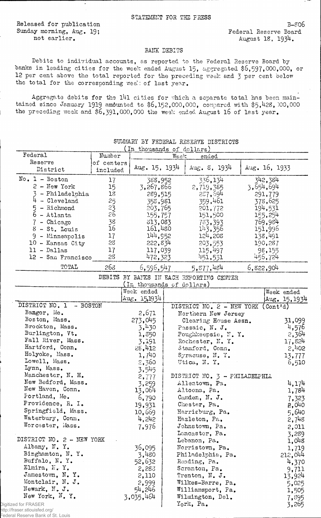Released for publication Sunday morning, Aug. 19; not earlier.

 $B - 806$ Federal Reserve Board August 18, 1934.

## BANK DEBITS

Debits to individual accounts, as reported to the Federal Reserve Board by banks in leading cities for the week ended August 15, aggregated \$6,597,000,000, or 12 per cent above the total reported for the preceding week and 3 per cent below the total for the corresponding week of last year.

Aggregate debits for the 141 cities for which a separate total has been maintained since January 1919 amounted to \$6,152,000,000, compared with \$5,428,000,000 the preceding week and \$6,391,000,000 the week ended August 16 of last year.

|                           |            | (In thousands of dollars)                |      |                               |  |               |              |
|---------------------------|------------|------------------------------------------|------|-------------------------------|--|---------------|--------------|
| Federal                   | Number     |                                          | Week | ended                         |  |               |              |
| Reserve                   | of centers |                                          |      |                               |  |               |              |
| District                  | included   | Aug. $15, 1934$                          |      | Aug. $\,6, 1934$              |  | Aug. 16, 1933 |              |
|                           |            |                                          |      |                               |  |               |              |
| $No. 1 - Boston$          | 17         | 388,952                                  |      | 336,134                       |  | 342,384       |              |
| $2$ - New York            | 15         | 3,267,866                                |      | 2,719,385                     |  | 3,654,694     |              |
| 3 - Philadelphia          | 18         | 289,515                                  |      | 287,694                       |  | 291,779       |              |
| $4 - Cleveland$           | 25         | 358,981                                  |      | 359,461                       |  | 378,625       |              |
| 5 - Richmond              | 23<br>26   | 203,765                                  |      | 201,772                       |  | 194,531       |              |
| $6 - \text{Atlanta}$      |            | 155,757                                  |      | 151,500                       |  | 155,254       |              |
| 7 - Chicago               | 38         | 313,083                                  |      | 783,393                       |  | 769,984       |              |
| $8$ - St. Louis           | 16         | 161,480                                  |      | 143,356                       |  | 151,996       |              |
| 9 - Minneapolis           | 17         | 144,952                                  |      | 124,208                       |  | 138,491       |              |
| 10 - Kansas City          | 28         | 222,834                                  |      | 203,553                       |  | 190,287       |              |
|                           |            |                                          |      |                               |  |               |              |
| 11 - Dallas               | 17         | 117,039                                  |      | 115,497                       |  | 98,155        |              |
| 12 - San Francisco        | 28         | 472,323                                  |      | 451,531                       |  | 456,724       |              |
| TOTAL                     | 268        | 6,596,547                                |      | 5,877,484                     |  | 6,822,904     |              |
|                           |            | DEBITS BY BANKS IN EACH REPORTING CENTER |      |                               |  |               |              |
|                           |            | (In thousands of dollars)                |      |                               |  |               |              |
|                           |            | Week ended                               |      |                               |  |               | Week ended   |
|                           |            | Aug. 15.1934                             |      |                               |  |               | Aug. 15,1934 |
| DISTRICT NO. 1 - BOSTON   |            |                                          |      | DISTRICT NO. 2 - NEW YORK     |  | (Cont'd)      |              |
| Bangor, Me.               |            | 2,671                                    |      | Northern New Jersey           |  |               |              |
| Boston, Mass.             |            | 273,045                                  |      | Clearing House Assn.          |  |               | 31,099       |
| Brockton, Mass.           |            | 3,430                                    |      | Passaic, N. J.                |  |               | 4,576        |
| Burlington, Vt.           |            | 1,850                                    |      | Poughkeepsie, N.Y.            |  |               | 2,364        |
| Fall River, Mass.         |            | 3,191                                    |      | Rochester, N.Y.               |  |               | 17,824       |
| Hartford, Conn.           |            | 28,412                                   |      | Stamford, Conn.               |  |               | $5'$ jt05    |
| Holyoke, Mass.            |            | 1,740                                    |      | Syracuse, N.Y.                |  |               |              |
| Lowell, Mass.             |            |                                          |      |                               |  |               | 13,777       |
| Lynn, Mass.               |            | 2,360                                    |      | Utica, N.Y.                   |  |               | 6,510        |
|                           |            | 3,545                                    |      |                               |  |               |              |
| Manchester, N. H.         |            | 2,777                                    |      | DISTRICT NO. 3 - PHILADELPHIA |  |               |              |
| New Bedford, Mass.        |            | 3,259                                    |      | Allentown, Pa.                |  |               | 4,174        |
| New Haven, Conn.          |            | 13,064                                   |      | Altoona, Pa.                  |  |               | 1,784        |
| Fortland, Me.             |            | 6,790                                    |      | Camden, N. J.                 |  |               | 7,323        |
| Providence, R. I.         |            | 19,931                                   |      | Chester, Pa.                  |  |               | 2,040        |
| Springfield, Mass.        |            | 10,669                                   |      | Harrisburg, Pa.               |  |               | 5,640        |
| Waterbury, Conn.          |            | 4,242                                    |      | Hazleton, Pa.                 |  |               | 2,748        |
| Worcester, Mass.          |            | 7,976                                    |      | Johnstown, Pa.                |  |               | 2,011        |
|                           |            |                                          |      | Lancaster, Pa.                |  |               |              |
| DISTRICT NO. 2 - NEW YORK |            |                                          |      | Lebanon, Pa.                  |  |               | 3,289        |
| Albany, N.Y.              |            |                                          |      |                               |  |               | $1,0^{18}$   |
| Binghamton, N.Y.          |            | 36,095                                   |      | Norristown, Pa.               |  |               | 1,719        |
| Buffalo, N.Y.             |            | 3,480                                    |      | Philadelphia, Pa.             |  |               | 212,044      |
|                           |            | 52,632                                   |      | Reading, Pa.                  |  |               | 4,370        |
| Elmira, F.Y.              |            | 2,283                                    |      | Scranton, Pa.                 |  |               | 9,711        |
| Jamestown, N.Y.           |            | 2,110                                    |      | Trenton, N. J.                |  |               | 13,924       |
| Montclair, N. J.          |            | 2,999                                    |      | Wilkes-Barre, Pa.             |  |               | 5,025        |
| Newark, N. J.             |            | 54,246                                   |      | Williamsport, Pa.             |  |               | 1,505        |
| New York, N.Y.            |            | 3,035,464                                |      | Wilmington, Del.              |  |               | 7,895        |
| ed for FRASER             |            |                                          |      | York, Pa.                     |  |               | 3,265        |
|                           |            |                                          |      |                               |  |               |              |

SUMMARY BY FEDERAL RESERVE DISTRICTS

Digitize http://fraser.stlouisfed.org/ Federal Reserve Bank of St. Louis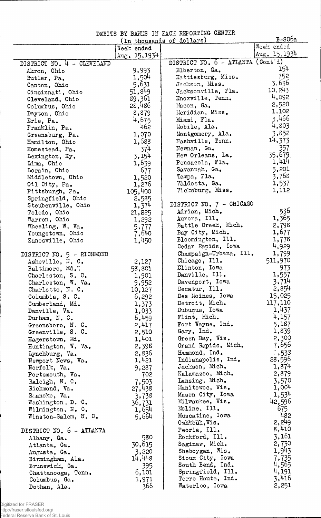DEBITS BY BANKS IN EACH REPORTING CENTER

ΞY.

 $\hat{\mathcal{A}}$ 

 $\mathcal{F}=\mathcal{F}$ 

|                            |                | (In thousands of dollars)         | $B-806a$        |
|----------------------------|----------------|-----------------------------------|-----------------|
|                            | Week ended     |                                   | Week ended      |
|                            | Aug. $15,1934$ |                                   | Aug. $15, 1934$ |
| DISTRICT NO. 4 - CLEVELAND |                | DISTRICT NO. 6 - ATLANTA (Contid) |                 |
| Akron, Ohio                | 9,993          | Elberton, Ga.                     | 154             |
| Butler, Pa.                | 1,504          | Hattiesburg, Miss.                | 752             |
| Canton, Ohio               | 5,631          | Jackson, Miss.                    | 3.636           |
| Cincinnati, Ohio           | 51,849         | Jacksonville, Fla.                | 10, 243         |
|                            | 39,361         | Knoxville, Tenn.                  | 4,092           |
| Cleveland, Ohio            | 28,486         | Macon, Ga.                        | 2,520           |
| Columbus, Ohio             | 8,879          | Meridian, Miss.                   | 1,102           |
| Dayton, Ohio               |                |                                   | 3,466           |
| Erie, Pa.                  | 4,675          | Miami, Fla.                       | 4,803           |
| Franklin, Pa.              | 462            | Mobile, Ala.                      |                 |
| Greensburg, Pa.            | 1,070          | Montgomery, Ala.                  | 3,852           |
| Hamilton, Ohio             | 1,688          | Mashville, Tenn.                  | 14,373          |
| Homestead, Pa.             | 374            | Newnan, Ga.                       | 357             |
| Lexington, Ky.             | 3,154          | New Orleans, La.                  | 35,679          |
| Lima, Ohio                 | 1,639          | Pensacola, Fla.                   | 1,414           |
| Lorain, Ohio               | 677            | Savannah, Ga.                     | 5,201           |
| Middletown, Ohio           | 1,520          | Tampa, Fla.                       | 3,768           |
| Oil City, Pa.              | 1,276          | Valdosta, Ga.                     | 1,537           |
| Pittsburgh, Pa.            | 105,400        | Vicksburg, Miss.                  | 1,112           |
| Springfield, Ohio          | 2,585          |                                   |                 |
| Steubenville, Ohio         | 1,374          | DISTRICT NO. 7 - CHICAGO          |                 |
| Toledo, Ohio               | 21,225         | Adrian, Mich.                     | 536             |
| Warren, Ohio               | 1,292          | Aurora, Ill.                      | 1,365           |
| Wheeling, W. Va.           | 5,777          | Battle Creek, Mich.               | 2,798           |
| Youngstown, Ohio           | 7,640          | Bay City, Mich.                   | 1,677           |
| Zanesville, Ohio           | 1,450          | Bloomington, Ill.                 | 1,778           |
|                            |                | Cedar Rapids, Iowa                | 4,929           |
| DISTRICT NO. 5 - RICHMOND  |                | Champaign-Urbana, Ill.            | 1,799           |
| Asheville, N. C.           | 2,127          | Chicago, Ill.                     | 511,970         |
| Baltimore, Md.7            | 58,801         | Clinton, Iowa                     | 973             |
| Charleston, S. C.          | 1,901          | Danville, Ill.                    | 1,557           |
| Charleston, W. Va.         | 9,952          | Davenport, Iowa                   | 3,714           |
| Charlotte, N. C.           | 10,127         | Decatur, Ill.                     | 2,854           |
| Columbia, S. C.            | 6,292          | Des Moines, Iowa                  | 15,025          |
|                            |                | Detroit, Mich.                    | 117,110         |
| Cumberland, Md.            | 1,373          | Dubuque, Iowa                     | 1,437           |
| Danville, Va.              | 1,033          | Flint, Mich.                      | 4,157           |
| Durham, N.C.               | 6,459          | Fort Wayne, Ind.                  | 5,187           |
| Greensboro, N.C.           | 2,417          |                                   |                 |
| Greenville, S. C.          | 2,510          | Gary, Ind.                        | 1,839           |
| Hagerstown, Md.            | 1,401          | Green Bay, Wis.                   | 2,300           |
| Huntington, W. Va.         | 2,398          | Grand Rapids, Mich.               | 7,656           |
| Lynchburg, Va.             | 2,836          | Hammond, Ind.                     | $-533$          |
| Newport News, Va.          | 1,421          | Indianapolis, Ind.                | 28,596          |
| Norfolk, Va.               | 9,287          | Jackson, Mich.                    | 1,874           |
| Portsmouth, Va.            | 702            | Kalamazoo, Mich.                  | 2,879           |
| Raleigh, N. C.             | 7,503          | Lansing, Mich.                    | 3,570           |
| Richmond, Va.              | 27,438         | Manitowoc, Wis.                   | 1,004           |
| Ranoke, Va.                | 3,738          | Mason City, Iowa                  | 1,534           |
| Washington, D. C.          | 36,731         | Milwaukee, Wis.                   | 42,596          |
| Wilmington, N. C.          | 1,654          | Moline, Ill.                      | 675             |
| Winston-Salem, N. C.       | 5,664          | Muscatine, Iowa                   | 482             |
|                            |                | $Osh$ rodh, Wis.                  | 2,249           |
| DISTRICT NO. 6 - ATLANTA   |                | Peoria, Ill.                      | 8,410           |
| Albany, Ga.                | 580            | Rockford, Ill.                    | 3,161           |
| Atlanta, Ga.               | 30,615         | Saginaw, Mich.                    | 2,730           |
| Augusta, Ga.               | 3,220          | Sheboygan, Wis.                   | 1,943           |
| Birmingham, Ala.           | 14,448         | Sioux City, Iowa                  | 7,735           |
| Brunswick, Ga.             | 395            | South Bend, Ind.                  | 4,565           |
| Chattanooga, Tenn.         | 6,101          | Springfield, Ill.                 | 4,191           |
| Columbus, Ga.              | 1,971          | Terre Haute, Ind.                 | 3,416           |
| Dothan, Ala.               | 366            | Waterloo, Iowa                    | 2,251           |
|                            |                |                                   |                 |

.<br>I

 $\mathsf{I}$